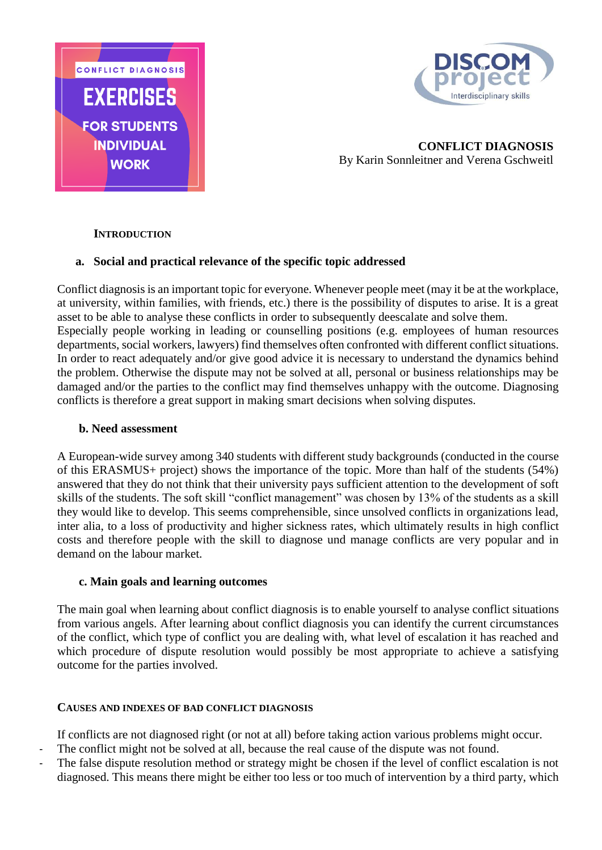



**CONFLICT DIAGNOSIS** By Karin Sonnleitner and Verena Gschweitl

## **INTRODUCTION**

## **a. Social and practical relevance of the specific topic addressed**

Conflict diagnosis is an important topic for everyone. Whenever people meet (may it be at the workplace, at university, within families, with friends, etc.) there is the possibility of disputes to arise. It is a great asset to be able to analyse these conflicts in order to subsequently deescalate and solve them. Especially people working in leading or counselling positions (e.g. employees of human resources departments, social workers, lawyers) find themselves often confronted with different conflict situations. In order to react adequately and/or give good advice it is necessary to understand the dynamics behind the problem. Otherwise the dispute may not be solved at all, personal or business relationships may be damaged and/or the parties to the conflict may find themselves unhappy with the outcome. Diagnosing conflicts is therefore a great support in making smart decisions when solving disputes.

#### **b. Need assessment**

A European-wide survey among 340 students with different study backgrounds (conducted in the course of this ERASMUS+ project) shows the importance of the topic. More than half of the students (54%) answered that they do not think that their university pays sufficient attention to the development of soft skills of the students. The soft skill "conflict management" was chosen by 13% of the students as a skill they would like to develop. This seems comprehensible, since unsolved conflicts in organizations lead, inter alia, to a loss of productivity and higher sickness rates, which ultimately results in high conflict costs and therefore people with the skill to diagnose und manage conflicts are very popular and in demand on the labour market.

#### **c. Main goals and learning outcomes**

The main goal when learning about conflict diagnosis is to enable yourself to analyse conflict situations from various angels. After learning about conflict diagnosis you can identify the current circumstances of the conflict, which type of conflict you are dealing with, what level of escalation it has reached and which procedure of dispute resolution would possibly be most appropriate to achieve a satisfying outcome for the parties involved.

## **CAUSES AND INDEXES OF BAD CONFLICT DIAGNOSIS**

If conflicts are not diagnosed right (or not at all) before taking action various problems might occur.

- The conflict might not be solved at all, because the real cause of the dispute was not found.
- The false dispute resolution method or strategy might be chosen if the level of conflict escalation is not diagnosed. This means there might be either too less or too much of intervention by a third party, which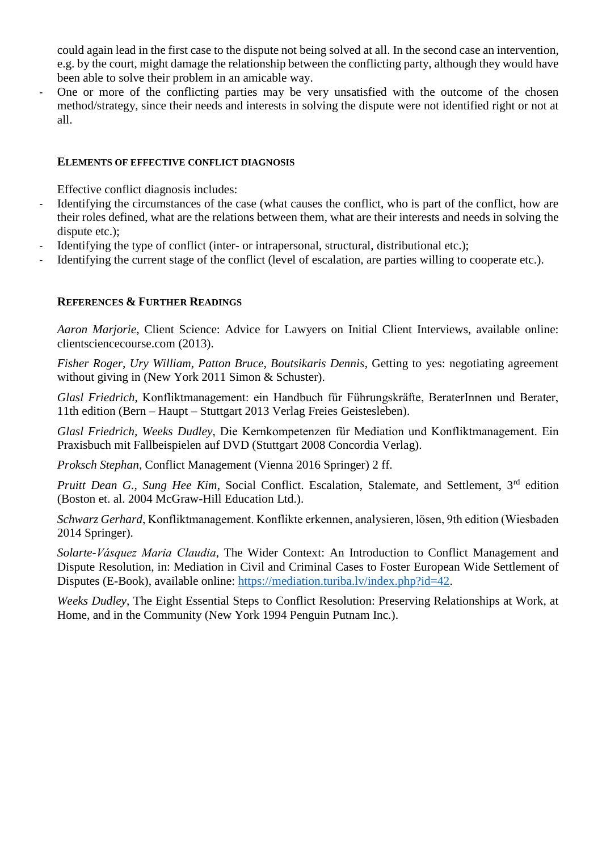could again lead in the first case to the dispute not being solved at all. In the second case an intervention, e.g. by the court, might damage the relationship between the conflicting party, although they would have been able to solve their problem in an amicable way.

One or more of the conflicting parties may be very unsatisfied with the outcome of the chosen method/strategy, since their needs and interests in solving the dispute were not identified right or not at all.

#### **ELEMENTS OF EFFECTIVE CONFLICT DIAGNOSIS**

Effective conflict diagnosis includes:

- Identifying the circumstances of the case (what causes the conflict, who is part of the conflict, how are their roles defined, what are the relations between them, what are their interests and needs in solving the dispute etc.);
- Identifying the type of conflict (inter- or intrapersonal, structural, distributional etc.);
- Identifying the current stage of the conflict (level of escalation, are parties willing to cooperate etc.).

#### **REFERENCES & FURTHER READINGS**

*Aaron Marjorie*, Client Science: Advice for Lawyers on Initial Client Interviews, available online: clientsciencecourse.com (2013).

*Fisher Roger, Ury William, Patton Bruce, Boutsikaris Dennis*, Getting to yes: negotiating agreement without giving in (New York 2011 Simon & Schuster).

*Glasl Friedrich*, Konfliktmanagement: ein Handbuch für Führungskräfte, BeraterInnen und Berater, 11th edition (Bern – Haupt – Stuttgart 2013 Verlag Freies Geistesleben).

*Glasl Friedrich, Weeks Dudley*, Die Kernkompetenzen für Mediation und Konfliktmanagement. Ein Praxisbuch mit Fallbeispielen auf DVD (Stuttgart 2008 Concordia Verlag).

*Proksch Stephan*, Conflict Management (Vienna 2016 Springer) 2 ff.

Pruitt Dean G., Sung Hee Kim, Social Conflict. Escalation, Stalemate, and Settlement. 3<sup>rd</sup> edition (Boston et. al. 2004 McGraw-Hill Education Ltd.).

*Schwarz Gerhard*, Konfliktmanagement. Konflikte erkennen, analysieren, lösen, 9th edition (Wiesbaden 2014 Springer).

*Solarte-Vásquez Maria Claudia*, The Wider Context: An Introduction to Conflict Management and Dispute Resolution, in: Mediation in Civil and Criminal Cases to Foster European Wide Settlement of Disputes (E-Book), available online: [https://mediation.turiba.lv/index.php?id=42.](https://mediation.turiba.lv/index.php?id=42)

*Weeks Dudley*, The Eight Essential Steps to Conflict Resolution: Preserving Relationships at Work, at Home, and in the Community (New York 1994 Penguin Putnam Inc.).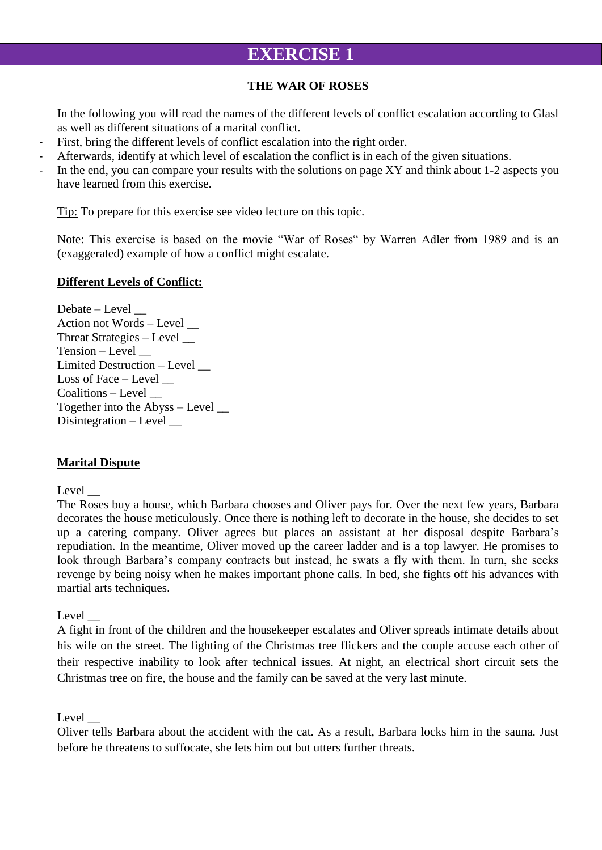# **EXERCISE 1**

## **THE WAR OF ROSES**

In the following you will read the names of the different levels of conflict escalation according to Glasl as well as different situations of a marital conflict.

- First, bring the different levels of conflict escalation into the right order.
- Afterwards, identify at which level of escalation the conflict is in each of the given situations.
- In the end, you can compare your results with the solutions on page XY and think about 1-2 aspects you have learned from this exercise.

Tip: To prepare for this exercise see video lecture on this topic.

Note: This exercise is based on the movie "War of Roses" by Warren Adler from 1989 and is an (exaggerated) example of how a conflict might escalate.

## **Different Levels of Conflict:**

Debate – Level \_\_ Action not Words – Level \_\_ Threat Strategies – Level \_\_ Tension – Level \_\_ Limited Destruction – Level \_\_ Loss of Face – Level Coalitions – Level \_\_ Together into the Abyss – Level \_\_ Disintegration – Level

## **Marital Dispute**

#### Level

The Roses buy a house, which Barbara chooses and Oliver pays for. Over the next few years, Barbara decorates the house meticulously. Once there is nothing left to decorate in the house, she decides to set up a catering company. Oliver agrees but places an assistant at her disposal despite Barbara's repudiation. In the meantime, Oliver moved up the career ladder and is a top lawyer. He promises to look through Barbara's company contracts but instead, he swats a fly with them. In turn, she seeks revenge by being noisy when he makes important phone calls. In bed, she fights off his advances with martial arts techniques.

Level

A fight in front of the children and the housekeeper escalates and Oliver spreads intimate details about his wife on the street. The lighting of the Christmas tree flickers and the couple accuse each other of their respective inability to look after technical issues. At night, an electrical short circuit sets the Christmas tree on fire, the house and the family can be saved at the very last minute.

Level

Oliver tells Barbara about the accident with the cat. As a result, Barbara locks him in the sauna. Just before he threatens to suffocate, she lets him out but utters further threats.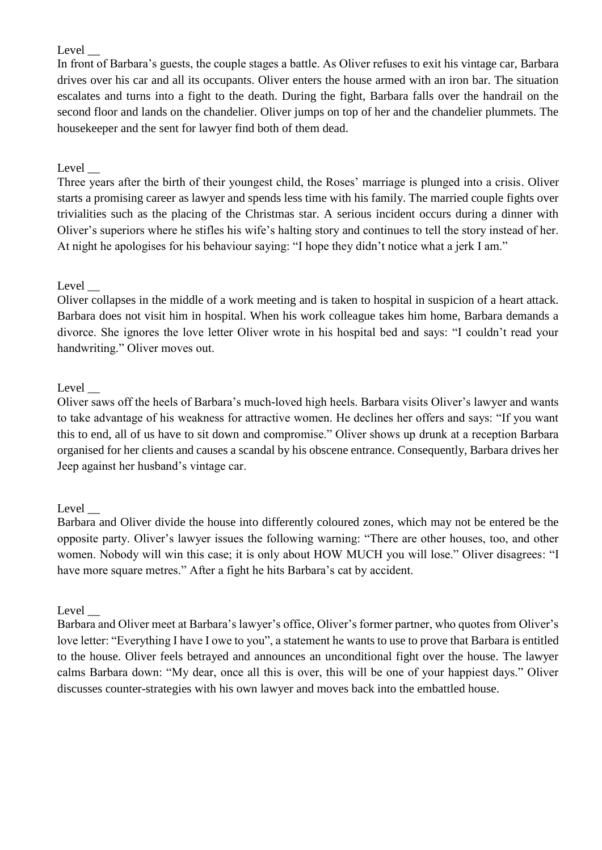## Level

In front of Barbara's guests, the couple stages a battle. As Oliver refuses to exit his vintage car, Barbara drives over his car and all its occupants. Oliver enters the house armed with an iron bar. The situation escalates and turns into a fight to the death. During the fight, Barbara falls over the handrail on the second floor and lands on the chandelier. Oliver jumps on top of her and the chandelier plummets. The housekeeper and the sent for lawyer find both of them dead.

## Level

Three years after the birth of their youngest child, the Roses' marriage is plunged into a crisis. Oliver starts a promising career as lawyer and spends less time with his family. The married couple fights over trivialities such as the placing of the Christmas star. A serious incident occurs during a dinner with Oliver's superiors where he stifles his wife's halting story and continues to tell the story instead of her. At night he apologises for his behaviour saying: "I hope they didn't notice what a jerk I am."

## Level

Oliver collapses in the middle of a work meeting and is taken to hospital in suspicion of a heart attack. Barbara does not visit him in hospital. When his work colleague takes him home, Barbara demands a divorce. She ignores the love letter Oliver wrote in his hospital bed and says: "I couldn't read your handwriting." Oliver moves out.

## Level

Oliver saws off the heels of Barbara's much-loved high heels. Barbara visits Oliver's lawyer and wants to take advantage of his weakness for attractive women. He declines her offers and says: "If you want this to end, all of us have to sit down and compromise." Oliver shows up drunk at a reception Barbara organised for her clients and causes a scandal by his obscene entrance. Consequently, Barbara drives her Jeep against her husband's vintage car.

#### Level

Barbara and Oliver divide the house into differently coloured zones, which may not be entered be the opposite party. Oliver's lawyer issues the following warning: "There are other houses, too, and other women. Nobody will win this case; it is only about HOW MUCH you will lose." Oliver disagrees: "I have more square metres." After a fight he hits Barbara's cat by accident.

#### Level  $\_\_$

Barbara and Oliver meet at Barbara's lawyer's office, Oliver's former partner, who quotes from Oliver's love letter: "Everything I have I owe to you", a statement he wants to use to prove that Barbara is entitled to the house. Oliver feels betrayed and announces an unconditional fight over the house. The lawyer calms Barbara down: "My dear, once all this is over, this will be one of your happiest days." Oliver discusses counter-strategies with his own lawyer and moves back into the embattled house.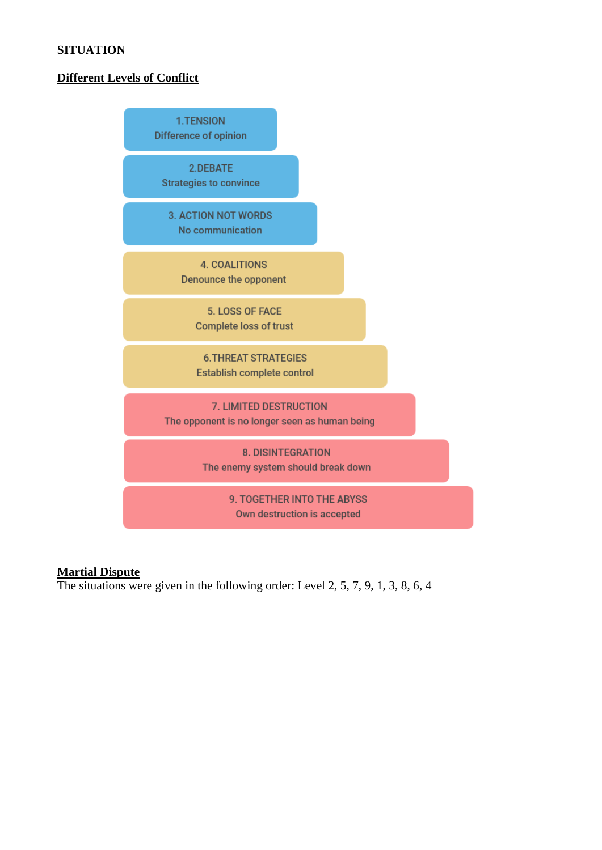## **SITUATION**

## **Different Levels of Conflict**



## **Martial Dispute**

The situations were given in the following order: Level 2, 5, 7, 9, 1, 3, 8, 6, 4